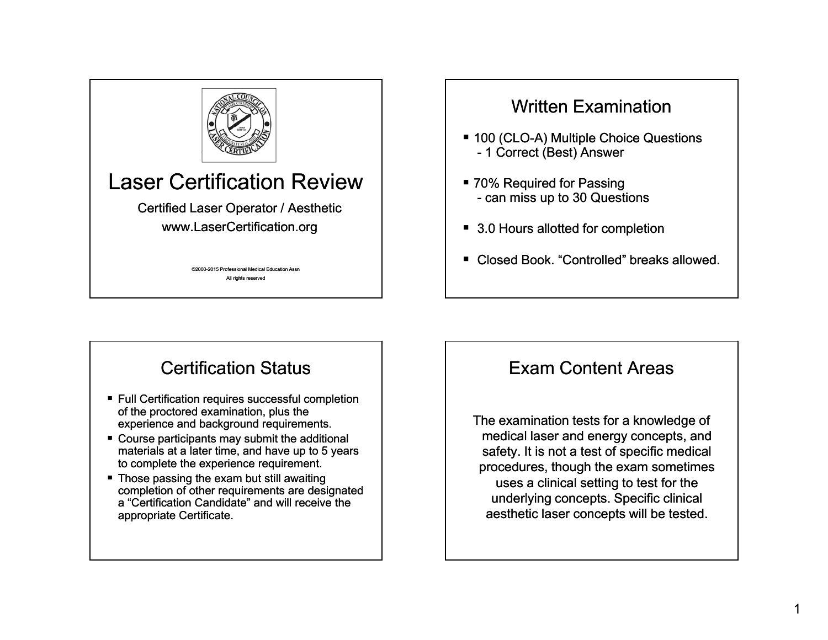

# Laser Certification Review

Certified Laser Operator / Aesthetic www LaserCertification org www.LaserCertification.org

> ©2000-2015 Professional Medical Education Assn 2015 All rights reserved

### Written Examination

- $\blacksquare$  100 (CLO-A) Multiple Choice Questions - 1 Correct (Best) Answer
- 70% Required for Passing - can miss up to 30 Questions
- 3.0 Hours allotted for completion
- Closed Book. "Controlled" breaks allowed.

# Certification Status

- Full Certification requires successful completion of the proctored examination, plus the experience and background requirements.
- Course participants may submit the additional materials at a later time, and have up to 5 years to complete the experience requirement.
- Those passing the exam but still awaiting completion of other requirements are designated a "Certification Candidate" and will receive the appropriate Certificate.

### Exam Content Areas

The examination tests for a knowledge of medical laser and energy concepts, and safety. It is not a test of specific medical procedures, though the exam sometimes uses a clinical setting to test for the underlying concepts. Specific clinical aesthetic laser concepts will be tested.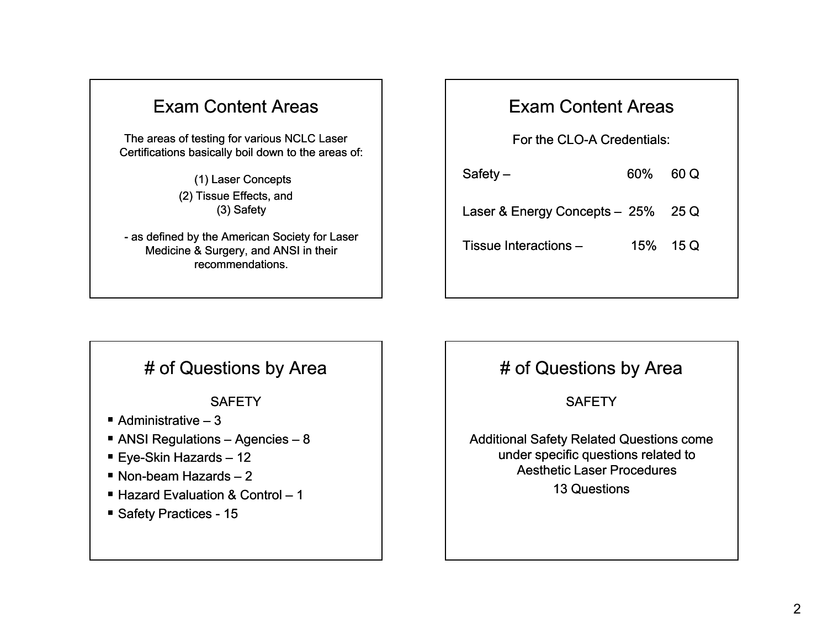### Exam Content Areas

The areas of testing for various NCLC Laser Certifications basically boil down to the areas of:

> (1) Laser Concepts (2) Tissue Effects, and (3) Safety

- as defined by the American Society for Laser Medicine & Surgery, and ANSI in their recommendations.

#### Exam Content Areas

For the CLO-A Credentials:

 $Safety - 60\% 60\,Q$ Laser & Energy Concepts - 25% 25 Q Tissue Interactions – 15% 15 Q

#### # of Questions by Area

**SAFFTY** 

- Administrative 3
- ANSI Regulations Agencies 8
- Eye-Skin Hazards 12
- $\blacksquare$  Non-beam Hazards 2
- Hazard Evaluation & Control 1
- Safety Practices 15

### # of Questions by Area

**SAFETY** 

Additional Safety Related Questions come under specific questions related to Aesthetic Laser Procedures13 Questions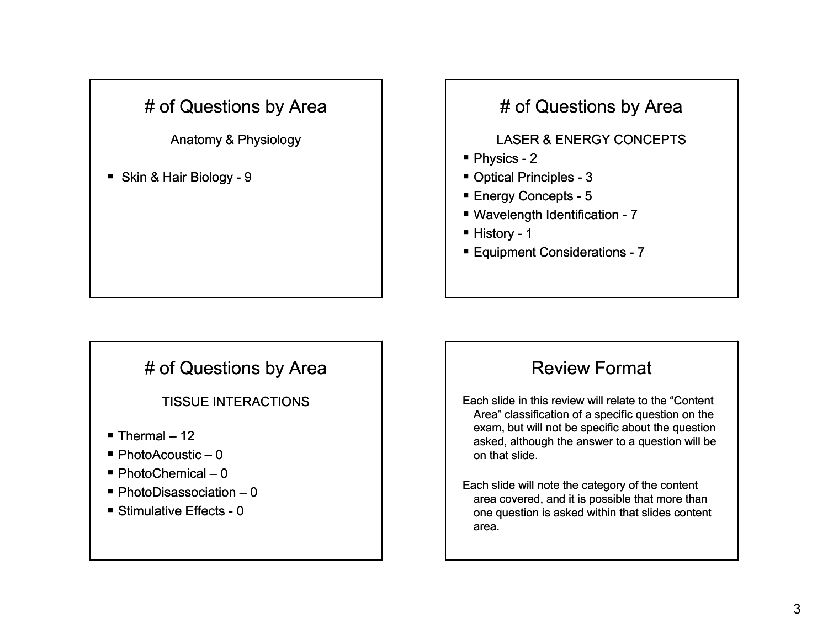# # of Questions by Area

Anatomy & Physiology

■ Skin & Hair Biology - 9

# # of Questions by Area

#### LASER & ENERGY CONCEPTS

- Physics 2
- Optical Principles 3
- Energy Concepts 5
- Wavelength Identification 7
- History 1
- Equipment Considerations 7

### # of Questions by Area

TISSUE INTERACTIONS

- Thermal 12
- PhotoAcoustic 0
- PhotoChemical 0
- PhotoDisassociation 0
- Stimulative Effects 0

#### Review Format

Each slide in this review will relate to the "Content Area" classification of <sup>a</sup> specific question on the exam, but will not be specific about the question asked, although the answer to a question will be on that slide.

Each slide will note the category of the content area covered, and it is possible that more than one question is asked within that slides content area.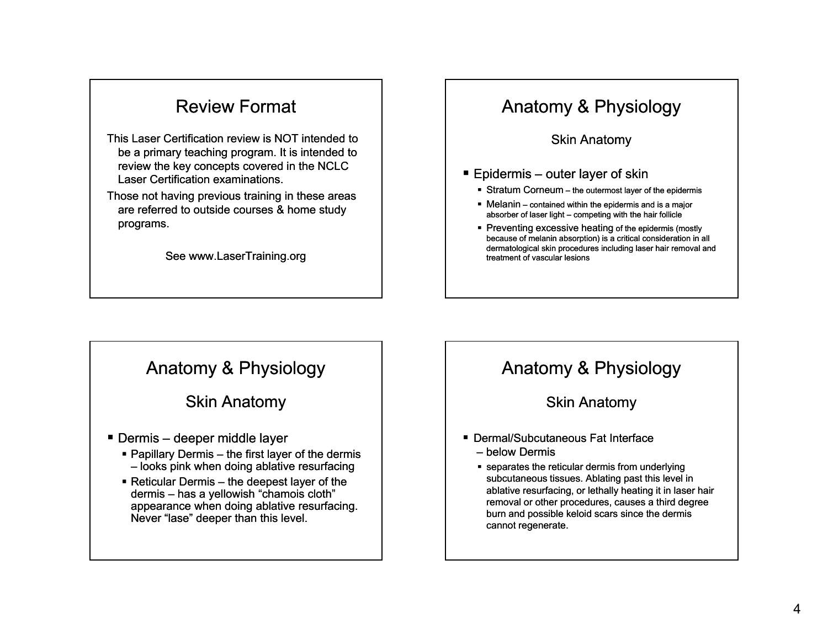### Review Format

- This Laser Certification review is NOT intended to be a primary teaching program. It is intended to review the key concepts covered in the NCLC Laser Certification examinations.
- Those not having previous training in these areas are referred to outside courses & home study programs.

See www.LaserTraining.org

### Anatomy & Physiology

Skin Anatomy

#### ■ Epidermis – outer layer of skin

- Stratum Corneum the outermost layer of the epidermis
- Melanin contained within the epidermis and is a major absorber of laser light – competing with the hair follicle
- **Preventing excessive heating of the epidermis (mostly** because of melanin absorption) is a critical consideration in all dermatological skin procedures including laser hair removal and treatment of vascular lesions

### Anatomy & Physiology

#### Skin Anatomy

- Dermis deeper middle layer
	- Papillary Dermis the first layer of the dermis – looks pink when doing ablative resurfacing
	- $\blacksquare$  Reticular Dermis the deepest layer of the dermis – has a yellowish "chamois cloth" appearance when doing ablative resurfacing. Never "lase" deeper than this level.

### Anatomy & Physiology

#### Skin Anatomy

- Dermal/Subcutaneous Fat Interface – below Dermis
	- separates the reticular dermis from underlying subcutaneous tissues. Ablating past this level in ablative resurfacing, or lethally heating it in laser hair removal or other procedures, causes a third degree burn and possible keloid scars since the dermis cannot regenerate.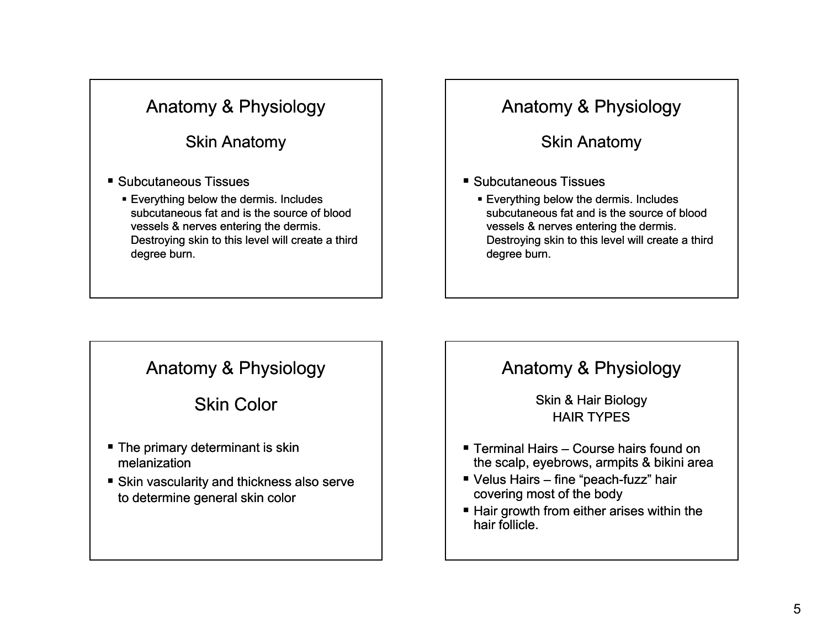#### Skin Anatomy

- Subcutaneous Tissues
	- Everything below the dermis. Includes subcutaneous fat and is the source of blood vessels & nerves entering the dermis. Destroying skin to this level will create a third degree burn.

### Anatomy & Physiology

#### Skin Anatomy

- Subcutaneous Tissues
	- Everything below the dermis. Includes subcutaneous fat and is the source of blood vessels & nerves entering the dermis. Destroying skin to this level will create a third degree burn.

### Anatomy & Physiology

#### Skin Color

- The primary determinant is skin melanization
- Skin vascularity and thickness also serve to determine general skin color

### Anatomy & Physiology

Skin & Hair Biology HAIR TYPES

- Terminal Hairs Course hairs found on the scalp, eyebrows, armpits & bikini area
- Velus Hairs fine "peach-fuzz" hair covering most of the body
- Hair growth from either arises within the hair follicle.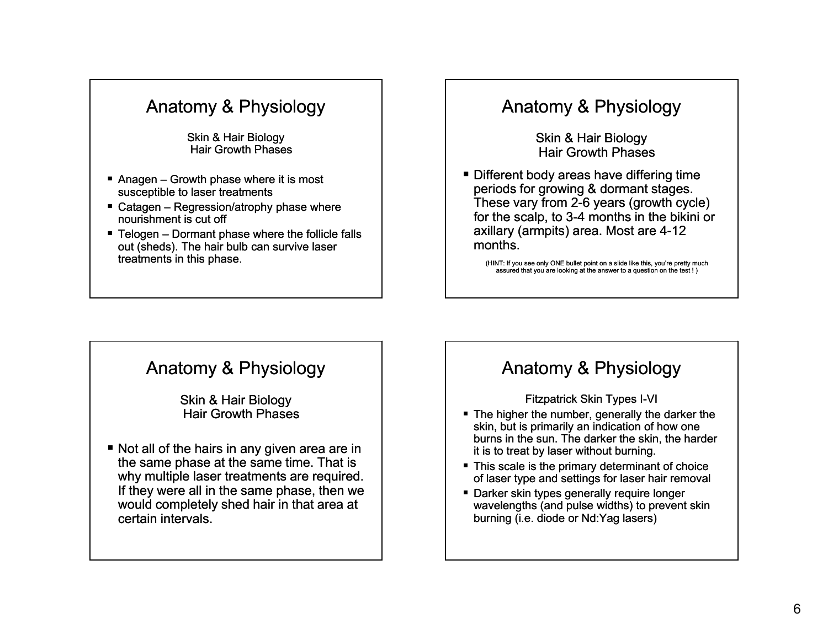Skin & Hair Biology Hair Growth Phases

- Anagen Growth phase where it is most susceptible to laser treatments
- Catagen Regression/atrophy phase where nourishment is cut off
- Telogen Dormant phase where the follicle falls out (sheds). The hair bulb can survive laser treatments in this phase.

#### Anatomy & Physiology

Skin & Hair Biology Hair Growth Phases

■ Different body areas have differing time periods for growing & dormant stages. These vary from 2-6 years (growth cycle) for the scalp, to 3-4 months in the bikini or axillary (armpits) area. Most are 4 4-12 months.

(HINT: If you see only ONE bullet point on a slide like this, you're pretty much assured that you are looking at the answer to a question on the test ! )

#### Anatomy & Physiology

Skin & Hair Biology Hair Growth Phases

■ Not all of the hairs in any given area are in the same phase at the same time. That is why multiple laser treatments are required. If they were all in the same phase, then we would completely shed hair in that area at certain intervals.

#### Anatomy & Physiology

#### **Fitzpatrick Skin Types I-VI**

- $\;\blacksquare\;$  The higher the number, generally the darker the skin, but is primarily an indication of how one burns in the sun. The darker the skin, the harder it is to treat by laser without burning.
- This scale is the primary determinant of choice of laser type and settings for laser hair removal
- Darker skin types generally require longer wavelengths (and pulse widths) to prevent skin burning (i.e. diode or Nd:Yag lasers)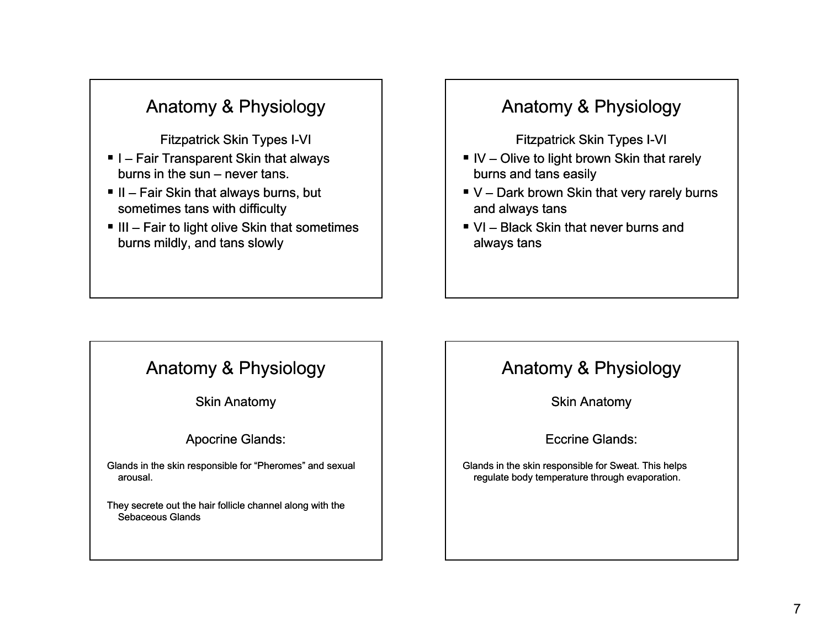**Fitzpatrick Skin Types I-VI** 

- I Fair Transparent Skin that always burns in the sun – never tans.
- II Fair Skin that always burns, but sometimes tans with difficulty
- $\blacksquare$  III Fair to light olive Skin that sometimes burns mildly, and tans slowly

# Anatomy & Physiology

**Fitzpatrick Skin Types I-VI** 

- $\blacksquare$  IV Olive to light brown Skin that rarely burns and tans easily
- V Dark brown Skin that very rarely burns and always tans
- VI Black Skin that never burns and always tans

### Anatomy & Physiology

Skin Anatomy

#### Apocrine Glands:

Glands in the skin responsible for "Pheromes" and sexual arousal.

They secrete out the hair follicle channel along with the Sebaceous Glands

### Anatomy & Physiology

Skin Anatomy

Eccrine Glands:

Glands in the skin responsible for Sweat. This helps regulate body temperature through evaporation.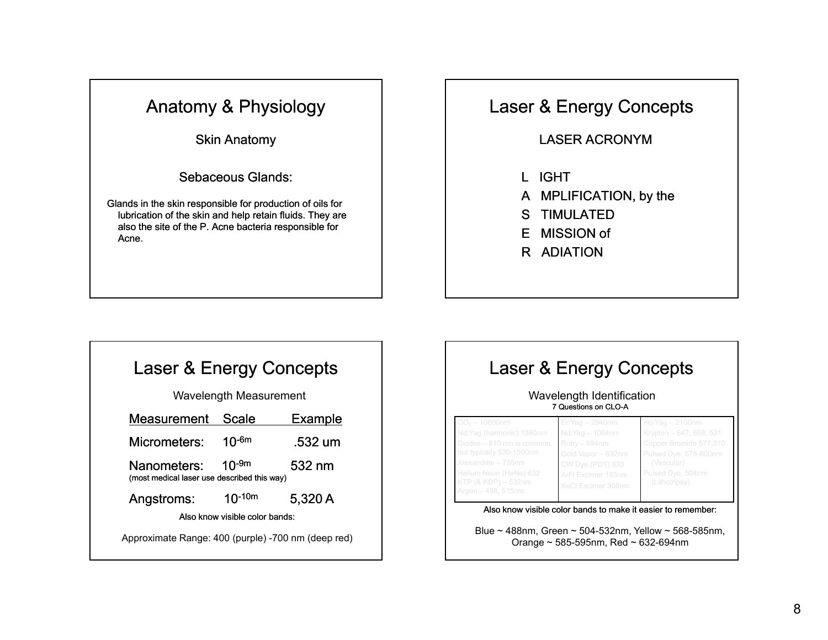Skin Anatomy

Sebaceous Glands:

Glands in the skin responsible for production of oils for lubrication of the skin and help retain fluids. They are also the site of the P. Acne bacteria responsible for Acne.

#### Laser & Energy Concepts

LASER ACRONYM

- L IGHT
- A MPLIFICATION, by the
- S TIMULATED
- E MISSION of
- R ADIATION

# Laser & Energy Concepts

Wavelength Measurement

| Measurement                                                | <b>Scale</b> | Example |
|------------------------------------------------------------|--------------|---------|
| Micrometers:                                               | $10^{-6m}$   | .532 um |
| Nanometers:<br>(most medical laser use described this way) | $10^{-9m}$   | 532 nm  |
| Angstroms:                                                 | $10^{-10m}$  | 5,320 A |
| Also know visible color bands:                             |              |         |
| Approximate Range: 400 (purple) -700 nm (deep red)         |              |         |

# Laser & Energy Concepts Wavelength Identification 7 Questions on CLO-A Also know visible color bands to make it easier to remember:

Blue ~ 488nm, Green ~ 504-532nm, Yellow ~ 568-585nm, Orange ~ 585-595nm, Red ~ 632-694nm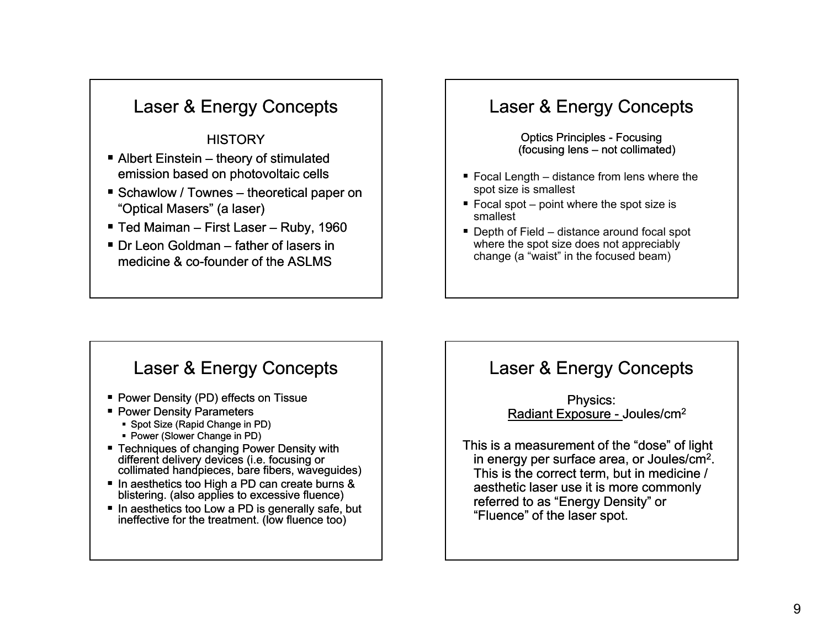#### **HISTORY**

- Albert Einstein theory of stimulated emission based on photovoltaic cells
- Schawlow / Townes theoretical paper on "Optical Masers" (a laser)
- Ted Maiman First Laser Ruby, 1960
- Dr Leon Goldman father of lasers in medicine & co-founder of the ASLMS  $\,$

### Laser & Energy Concepts

Optics Principles - Focusing (focusing lens – not collimated)

- Focal Length distance from lens where the spot size is smallest
- Focal spot point where the spot size is smallest
- Depth of Field distance around focal spot where the spot size does not appreciably change (a "waist" in the focused beam)

#### Laser & Energy Concepts

- Power Density (PD) effects on Tissue
- Power Density Parameters
- Spot Size (Rapid Change in PD)
- Power (Slower Change in PD)
- Techniques of changing Power Density with different delivery devices (i.e. focusing or collimated handpieces, bare fibers, waveguides)
- In aesthetics too High a PD can create burns & blistering. (also applies to excessive fluence)
- In aesthetics too Low a PD is generally safe, but ineffective for the treatment. (low fluence too)

### Laser & Energy Concepts

Physics: Radiant Exposure - Joules/cm<sup>2</sup>

This is a measurement of the "dose" of light in energy per surface area, or Joules/cm2. This is the correct term, but in medicine / aesthetic laser use it is more commonly referred to as "Energy Density" or "Fluence" of the laser spot.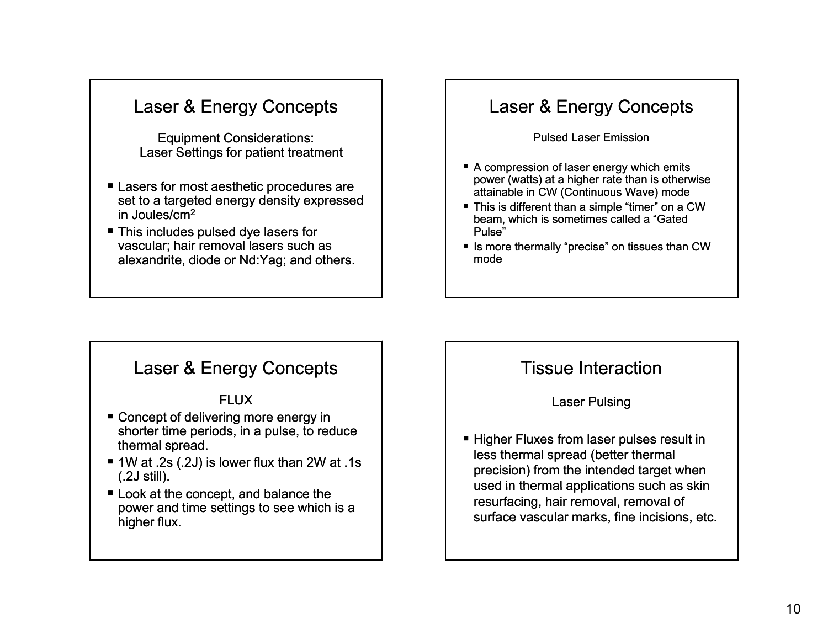Equipment Considerations: Laser Settings for patient treatment

- Lasers for most aesthetic procedures are set to a targeted energy density expressed in Joules/cm2
- This includes pulsed dye lasers for vascular; hair removal lasers such as alexandrite, diode or Nd:Yag; and others.

### Laser & Energy Concepts

Pulsed Laser Emission

- A compression of laser energy which emits power (watts) at a higher rate than is otherwise attainable in CW (Continuous Wave) mode
- This is different than a simple "timer" on a CW beam, which is sometimes called a "Gated Pulse"
- Is more thermally "precise" on tissues than CW mode

#### Laser & Energy Concepts

#### FLUX

- Concept of delivering more energy in shorter time periods, in a pulse, to reduce thermal spread.
- 1W at .2s (.2J) is lower flux than 2W at .1s (.2J still).
- Look at the concept, and balance the power and time settings to see which is a higher flux.

### Tissue Interaction

#### Laser Pulsing

■ Higher Fluxes from laser pulses result in less thermal spread (better thermal precision) from the intended target when used in thermal applications such as skin resurfacing, hair removal, removal of surface vascular marks, fine incisions, etc.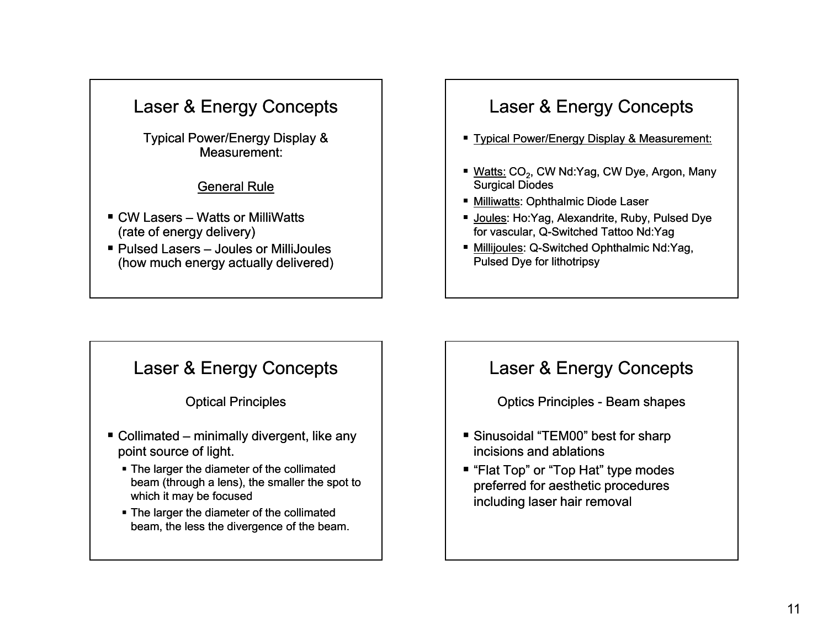Typical Power/Energy Display & Measurement:

#### General Rule

- CW Lasers Watts or MilliWatts (rate of energy delivery)
- Pulsed Lasers Joules or MilliJoules (how much energy actually delivered)

# Laser & Energy Concepts

- Typical Power/Energy Display & Measurement:
- Watts: CO<sub>2</sub>, CW Nd:Yag, CW Dye, Argon, Many Surgical Diodes
- <u>Milliwatts</u>: Ophthalmic Diode Laser
- <u>Joules</u>: Ho:Yag, Alexandrite, Ruby, Pulsed Dye for vascular, Q-Switched Tattoo Nd:Yag
- Millijoules: Q-Switched Ophthalmic Nd:Yag, Pulsed Dye for lithotripsy

### Laser & Energy Concepts

#### Optical Principles

- Collimated minimally divergent, like any point source of light.
	- The larger the diameter of the collimated beam (through a lens), the smaller the spot to which it may be focused
	- The larger the diameter of the collimated beam, the less the divergence of the beam.

#### Laser & Energy Concepts

Optics Principles - Beam shapes

- Sinusoidal "TEM00" best for sharp incisions and ablations
- "Flat Top" or "Top Hat" type modes preferred for aesthetic procedures including laser hair removal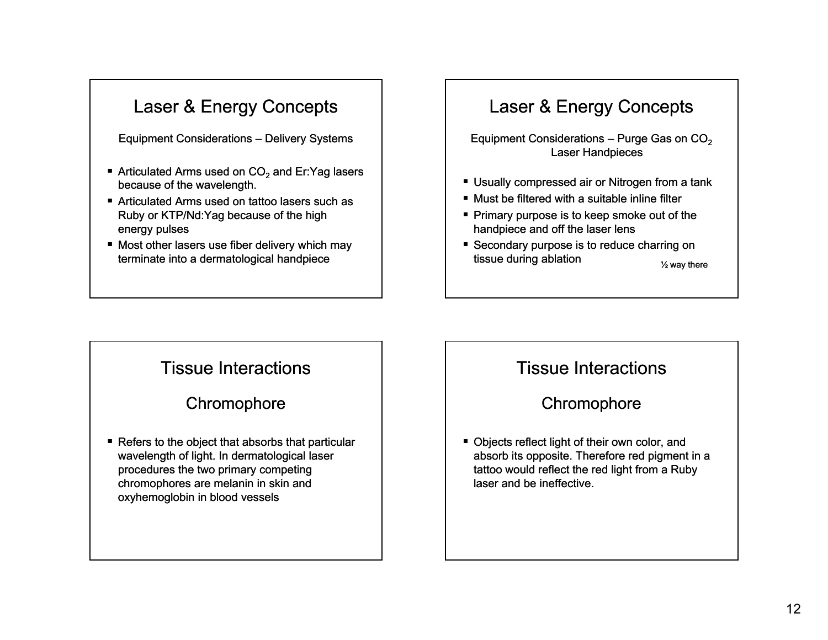Equipment Considerations – Delivery Systems

- **E** Articulated Arms used on  $CO<sub>2</sub>$  and Er:Yag lasers because of the wavelength.
- Articulated Arms used on tattoo lasers such as Ruby or KTP/Nd:Yag because of the high energy pulses
- Most other lasers use fiber delivery which may terminate into a dermatological handpiece

# Laser & Energy Concepts

Equipment Considerations – Purge Gas on  $CO<sub>2</sub>$ **Laser Handpieces** 

- Usually compressed air or Nitrogen from a tank
- Must be filtered with a suitable inline filter
- **Primary purpose is to keep smoke out of the** handpiece and off the laser lens
- Secondary purpose is to reduce charring on tissue during ablation  $\frac{1}{2}$  way there

### Tissue Interactions

#### **Chromophore**

■ Refers to the object that absorbs that particular wavelength of light. In dermatological laser procedures the two primary competing chromophores are melanin in skin and oxyhemoglobin in blood vessels

### Tissue Interactions

#### **Chromophore**

■ Objects reflect light of their own color, and absorb its opposite. Therefore red pigment in a tattoo would reflect the red light from a Ruby laser and be ineffective.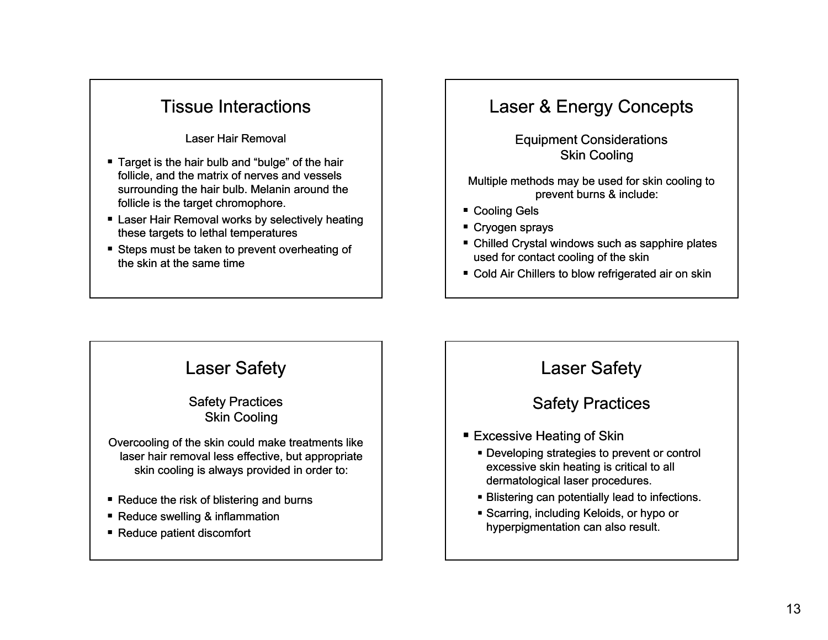### Tissue Interactions

Laser Hair Removal

- Target is the hair bulb and "bulge" of the hair follicle, and the matrix of nerves and vessels surrounding the hair bulb. Melanin around the follicle is the target chromophore.
- $\;\blacksquare\;$  Laser Hair Removal works by selectively heating these targets to lethal temperatures
- Steps must be taken to prevent overheating of the skin at the same time

### Laser & Energy Concepts

Equipment Considerations Skin Cooling

Multiple methods may be used for skin cooling to prevent burns & include:

- Cooling Gels
- Cryogen sprays
- Chilled Crystal windows such as sapphire plates used for contact cooling of the skin
- Cold Air Chillers to blow refrigerated air on skin

# Laser Safety

Safety Practices Skin Cooling

Overcooling of the skin could make treatments like laser hair removal less effective, but appropriate skin cooling is always provided in order to:

- Reduce the risk of blistering and burns
- Reduce swelling & inflammation
- Reduce patient discomfort

### Laser Safety

Safety Practices

- Excessive Heating of Skin
	- Developing strategies to prevent or control excessive skin heating is critical to all dermatological laser procedures.
	- Blistering can potentially lead to infections.
	- Scarring, including Keloids, or hypo or hyperpigmentation can also result.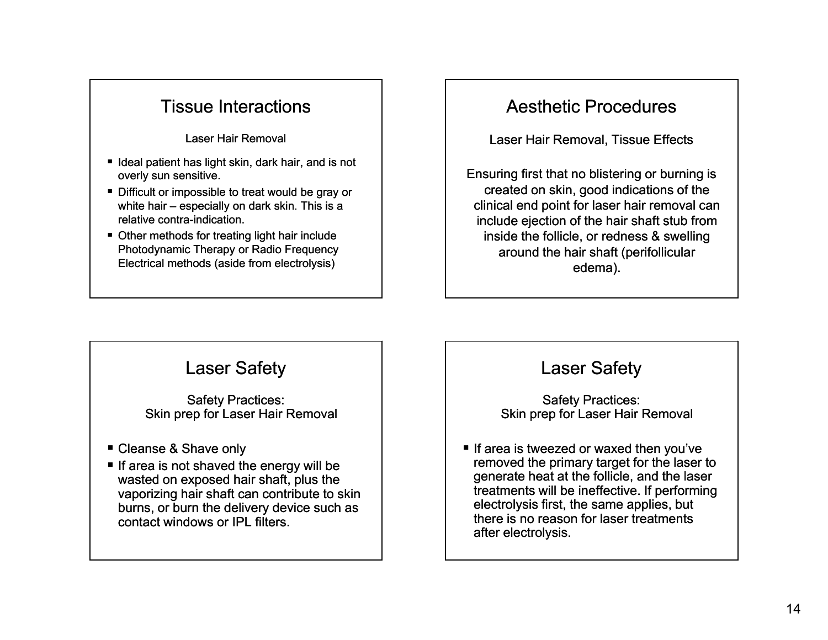#### Tissue Interactions

Laser Hair Removal

- Ideal patient has light skin, dark hair, and is not overly sun sensitive.
- Difficult or impossible to treat would be gray or white hair – especially on dark skin. This is a relative contra-indication.
- Other methods for treating light hair include Photodynamic Therapy or Radio Frequency Electrical methods (aside from electrolysis)

### Aesthetic Procedures

Laser Hair Removal, Tissue Effects

Ensuring first that no blistering or burning is created on skin, good indications of the clinical end point for laser hair removal can include ejection of the hair shaft stub from inside the follicle, or redness & swelling around the hair shaft (perifollicular edema).

### Laser Safety

Safety Practices: Skin prep for Laser Hair Removal

- Cleanse & Shave only
- If area is not shaved the energy will be wasted on exposed hair shaft, plus the vaporizing hair shaft can contribute to skin burns, or burn the delivery device such as contact windows or IPL filters.

### Laser Safety

Safety Practices: Skin prep for Laser Hair Removal

If area is tweezed or waxed then you've removed the primary target for the laser to generate heat at the follicle, and the laser treatments will be ineffective. If performing electrolysis first, the same applies, but there is no reason for laser treatments after electrolysis.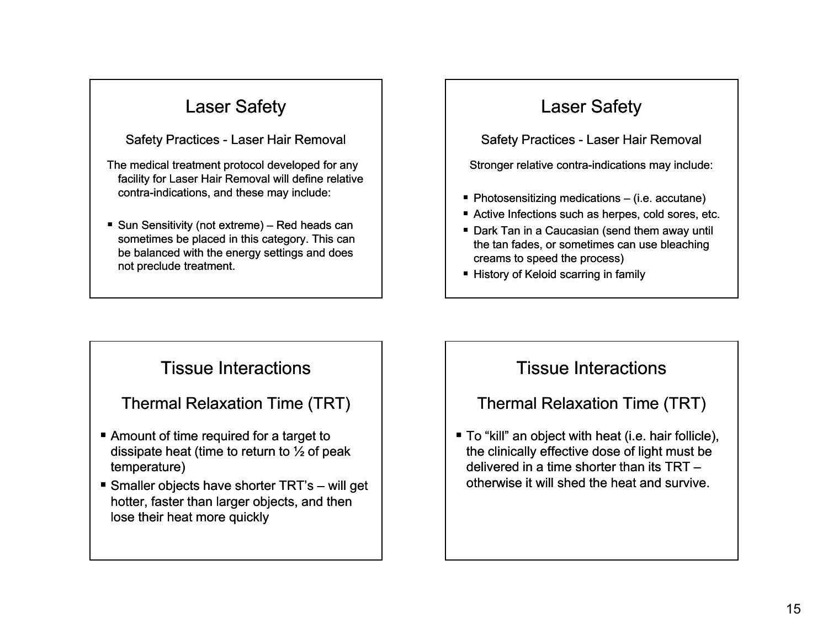#### Safety Practices - Laser Hair Removal

The medical treatment protocol developed for any facility for Laser Hair Removal will define relative contra-indications, and these may include:

■ Sun Sensitivity (not extreme) – Red heads can sometimes be placed in this category. This can be balanced with the energy settings and does not preclude treatment.

# Laser Safety

Safety Practices - Laser Hair Removal

Stronger relative contra-indications may include:

- **Photosensitizing medications (i.e. accutane)**  $\blacksquare$
- Active Infections such as herpes, cold sores, etc.
- Dark Tan in a Caucasian (send them away until the tan fades, or sometimes can use bleaching creams to speed the process)
- History of Keloid scarring in family

### Tissue Interactions

#### Thermal Relaxation Time (TRT)

- Amount of time required for a target to dissipate heat (time to return to  $\frac{1}{2}$  of peak temperature)
- Smaller objects have shorter TRT's will get hotter, faster than larger objects, and then lose their heat more quickly

### Tissue Interactions

#### Thermal Relaxation Time (TRT)

■ To "kill" an object with heat (i.e. hair follicle), the clinically effective dose of light must be delivered in a time shorter than its TRT –otherwise it will shed the heat and survive.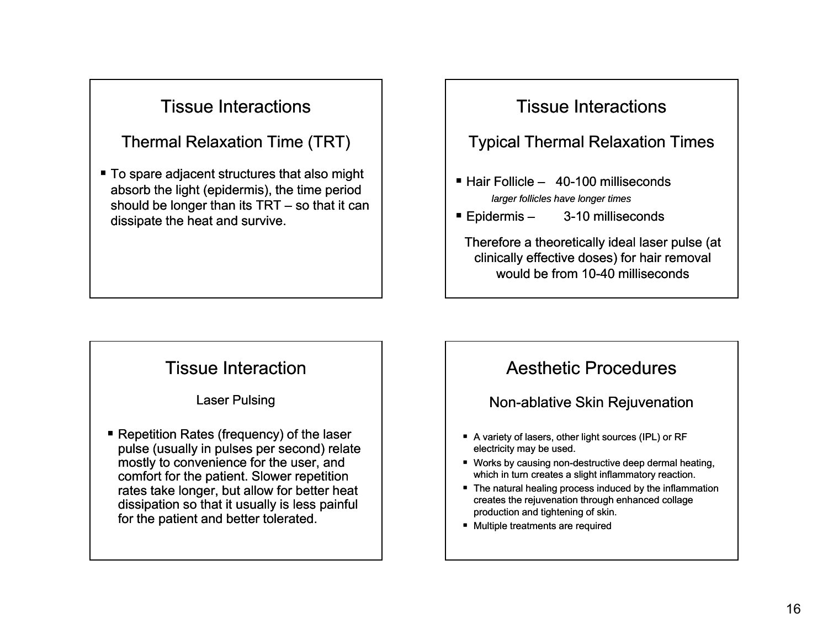### Tissue Interactions

#### Thermal Relaxation Time (TRT)

■ To spare adjacent structures that also might absorb the light (epidermis), the time period should be longer than its TRT – so that it can dissipate the heat and survive.

# Tissue Interactions

#### Typical Thermal Relaxation Times

- $\blacksquare$  Hair Follicle 40-100 milliseconds *larger follicles have longer times*
- $\blacksquare$  Epidermis 3-10 milliseconds

Therefore a theoretically ideal laser pulse (at clinically effective doses) for hair removal would be from 10-40 milliseconds

#### Tissue Interaction

Laser Pulsing

■ Repetition Rates (frequency) of the laser pulse (usually in pulses per second) relate mostly to convenience for the user, and comfort for the patient. Slower repetition rates take longer, but allow for better heat dissipation so that it usually is less painful for the patient and better tolerated.

#### Aesthetic Procedures

Non-ablative Skin Rejuvenation

- A variety of lasers, other light sources (IPL) or RF electricity may be used.
- Works by causing non-destructive deep dermal heating, which in turn creates a slight inflammatory reaction.
- $\blacksquare$  The natural healing process induced by the inflammation creates the rejuvenation through enhanced collage production and tightening of skin.
- Multiple treatments are required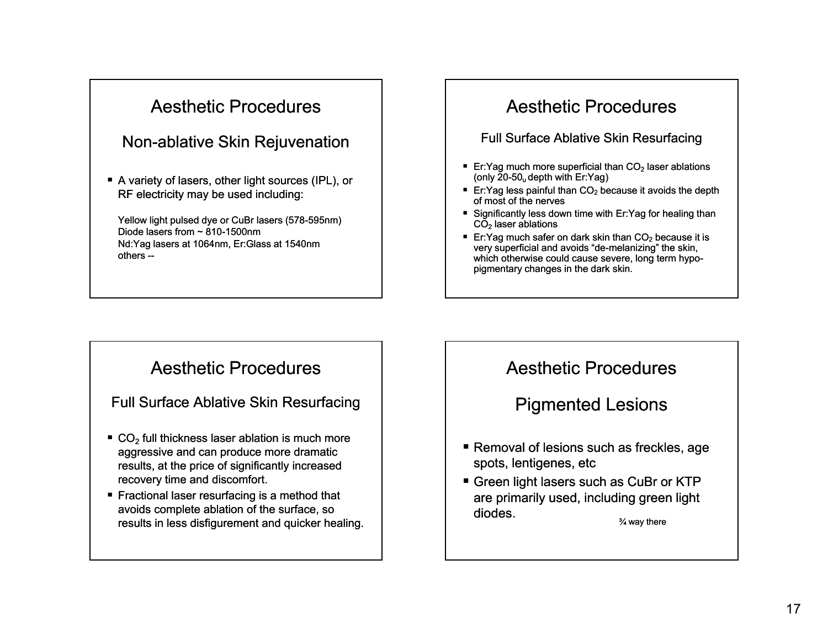# Aesthetic Procedures

#### Non-ablative Skin Rejuvenation

■ A variety of lasers, other light sources (IPL), or RF electricity may be used including:

Yellow light pulsed dye or CuBr lasers (578-595nm) Diode lasers from  $\sim$  810-1500nm Nd:Yag lasers at 1064nm, Er:Glass at 1540nm others --

### Aesthetic Procedures

#### Full Surface Ablative Skin Resurfacing

- Er:Yag much more superficial than  $CO<sub>2</sub>$  laser ablations (only  $20-50<sub>u</sub>$  depth with Er:Yag)
- Er: Yag less painful than  $CO<sub>2</sub>$  because it avoids the depth of most of the nerves
- Significantly less down time with Er:Yag for healing than  $\mathsf{CO}_2$  laser ablations
- Er:Yag much safer on dark skin than  $CO<sub>2</sub>$  because it is very superficial and avoids "de-melanizing" the skin, which otherwise could cause severe, long term hypopigmentary changes in the dark skin.

#### Aesthetic Procedures

Full Surface Ablative Skin Resurfacing

- $\bullet$  CO<sub>2</sub> full thickness laser ablation is much more aggressive and can produce more dramatic results, at the price of significantly increased recovery time and discomfort.
- Fractional laser resurfacing is a method that avoids complete ablation of the surface, so results in less disfigurement and quicker healing.

#### Aesthetic Procedures

Pigmented Lesions

- Removal of lesions such as freckles, age spots, lentigenes, etc
- **Green light lasers such as CuBr or KTP** are primarily used, including green light diodes.¾ way there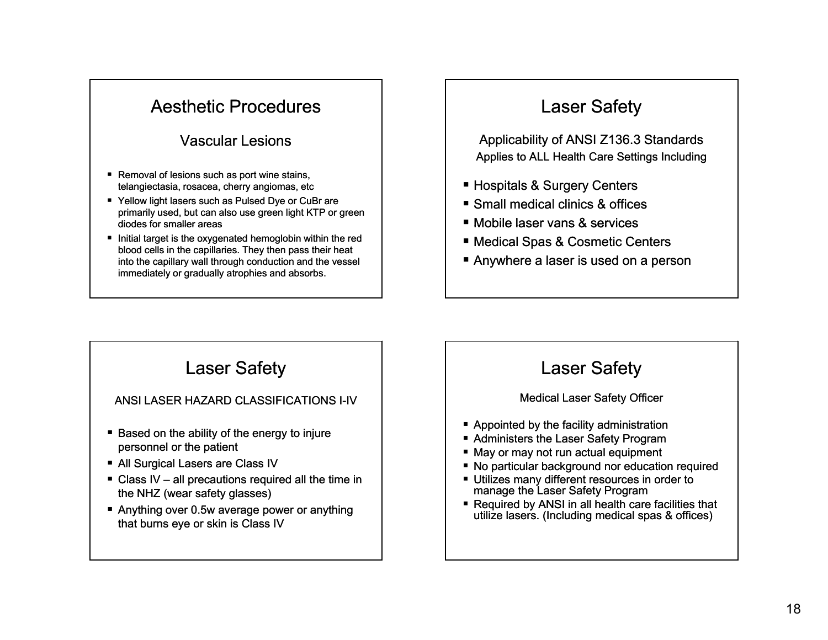### Aesthetic Procedures

#### Vascular Lesions

- Removal of lesions such as port wine stains, telangiectasia, rosacea, cherry angiomas, etc
- Yellow light lasers such as Pulsed Dye or CuBr are primarily used, but can also use green light KTP or green diodes for smaller areas
- Initial target is the oxygenated hemoglobin within the red blood cells in the capillaries. They then pass their heat into the capillary wall through conduction and the vessel immediately or gradually atrophies and absorbs.

# Laser Safety

Applicability of ANSI Z136.3 Standards Applies to ALL Health Care Settings Including

- Hospitals & Surgery Centers
- Small medical clinics & offices
- Mobile laser vans & services
- Medical Spas & Cosmetic Centers
- Anywhere a laser is used on a person

### Laser Safety

#### ANSI LASER HAZARD CLASSIFICATIONS I I-IV

- Based on the ability of the energy to injure personnel or the patient
- All Surgical Lasers are Class IV
- Class IV all precautions required all the time in the NHZ (wear safety glasses)
- Anything over 0.5w average power or anything that burns eye or skin is Class IV

### Laser Safety

#### Medical Laser Safety Officer

- Appointed by the facility administration
- Administers the Laser Safety Program
- May or may not run actual equipment
- No particular background nor education required
- Utilizes many different resources in order to manage the Laser Safety Program
- Required by ANSI in all health care facilities that utilize lasers. (Including medical spas & offices)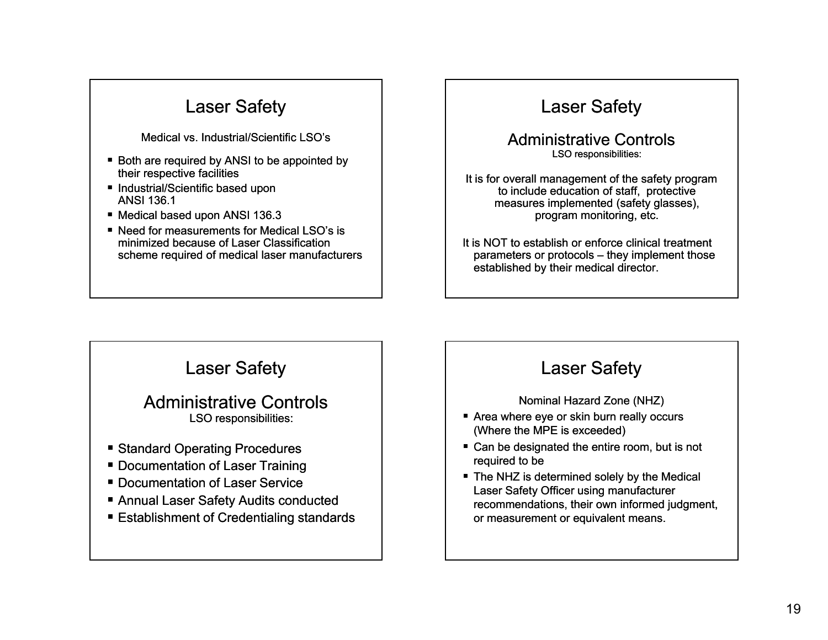Medical vs. Industrial/Scientific LSO's

- Both are required by ANSI to be appointed by their respective facilities
- Industrial/Scientific based upon ANSI 136.1
- Medical based upon ANSI 136.3
- Need for measurements for Medical LSO's is minimized because of Laser Classification scheme required of medical laser manufacturers

# Laser Safety

Administrative ControlsLSO responsibilities:

It is for overall management of the safety program to include education of staff, protective measures implemented (safety glasses), program monitoring, etc.

It is NOT to establish or enforce clinical treatment parameters or protocols – they implement those established by their medical director.

### Laser Safety

#### Administrative ControlsLSO responsibilities:

- Standard Operating Procedures
- Documentation of Laser Training
- **Documentation of Laser Service**
- Annual Laser Safety Audits conducted
- Establishment of Credentialing standards

# Laser Safety

Nominal Hazard Zone (NHZ)

- $\blacksquare$  Area where eye or skin burn really occurs (Where the MPE is exceeded)
- Can be designated the entire room, but is not required to be
- The NHZ is determined solely by the Medical Laser Safety Officer using manufacturer recommendations, their own informed judgment, or measurement or equivalent means.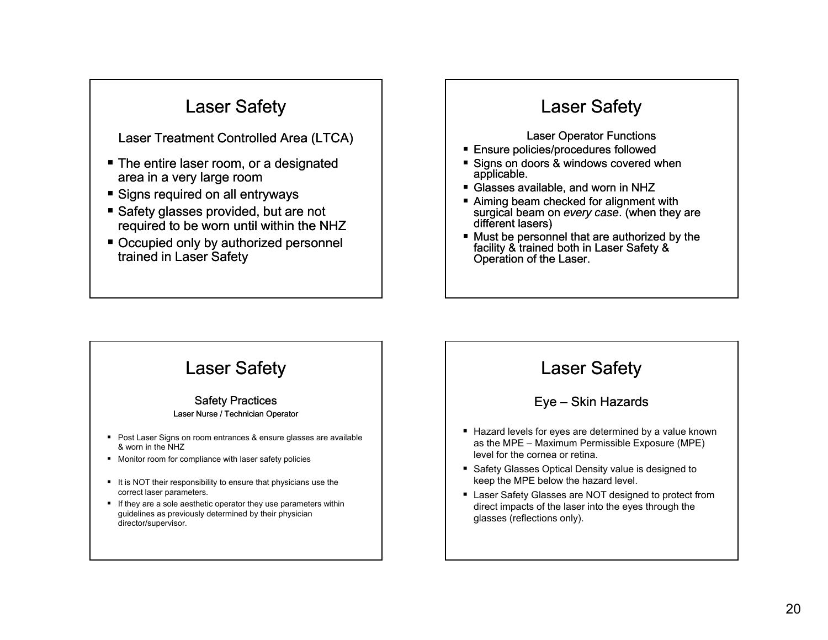Laser Treatment Controlled Area (LTCA)

- The entire laser room, or a designated area in a very large room
- Signs required on all entryways
- Safety glasses provided, but are not required to be worn until within the NHZ
- Occupied only by authorized personnel trained in Laser Safety

# Laser Safety

Laser Operator Functions

- Ensure policies/procedures followed
- Signs on doors & windows covered when applicable.
- Glasses available, and worn in NHZ
- Aiming beam checked for alignment with surgical beam on *every case*. (when they are different lasers)
- Must be personnel that are authorized by the facility & trained both in Laser Safety & Operation of the Laser.

# Laser Safety

#### Safety Practices Laser Nurse / Technician Operator

- Post Laser Signs on room entrances & ensure glasses are available & worn in the NHZ
- Monitor room for compliance with laser safety policies
- It is NOT their responsibility to ensure that physicians use the correct laser parameters.
- If they are a sole aesthetic operator they use parameters within guidelines as previously determined by their physician director/supervisor.

### Laser Safety

#### Eye – Skin Hazards

- Hazard levels for eyes are determined by a value known as the MPE – Maximum Permissible Exposure (MPE) level for the cornea or retina.
- Safety Glasses Optical Density value is designed to keep the MPE below the hazard level.
- Laser Safety Glasses are NOT designed to protect from direct impacts of the laser into the eyes through the glasses (reflections only).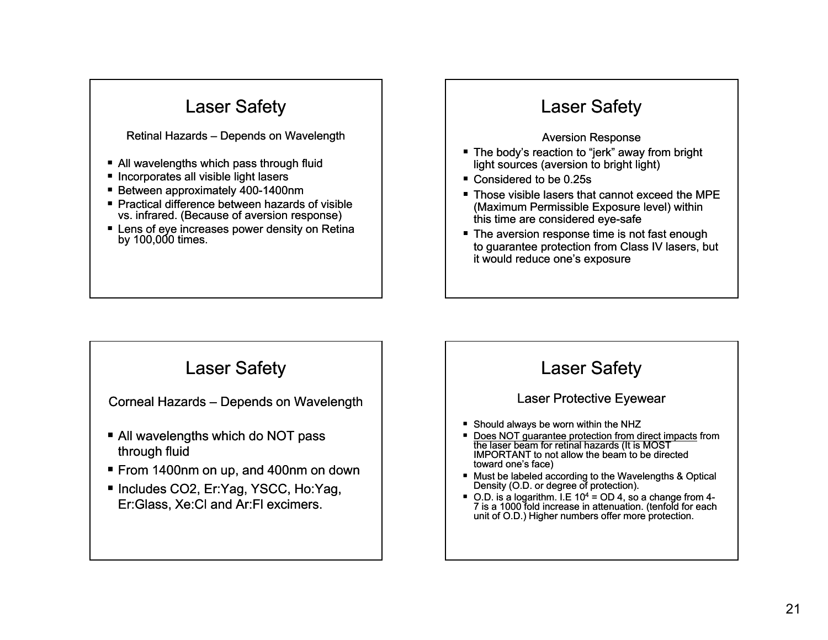#### Retinal Hazards – Depends on Wavelength

- All wavelengths which pass through fluid
- **Incorporates all visible light lasers**
- Between approximately 400-1400nm
- Practical difference between hazards of visible vs. infrared. (Because of aversion response)
- $\blacksquare$  Lens of eye increases power density on Retina by 100,000 times.

# Laser Safety

#### Aversion Response

- The body's reaction to "jerk" away from bright light sources (aversion to bright light)
- Considered to be 0.25s
- Those visible lasers that cannot exceed the MPE (Maximum Permissible Exposure level) within this time are considered eye-safe
- The aversion response time is not fast enough to guarantee protection from Class IV lasers, but it would reduce one's exposure

### Laser Safety

Corneal Hazards – Depends on Wavelength

- All wavelengths which do NOT pass through fluid
- From 1400nm on up, and 400nm on down
- Includes CO2, Er:Yag, YSCC, Ho:Yag, Er: Glass, Xe: Cl and Ar: Fl excimers.

# Laser Safety

#### Laser Protective Eyewear

- Should always be worn within the NHZ
- Does NOT guarantee protection from direct impacts from the laser beam for retinal hazards (It is MOST) IMPORTANT to not allow the beam to be directed toward one's face)
- Must be labeled according to the Wavelengths & Optical Density (O.D. or degree of protection).
- $\blacksquare$  O.D. is a logarithm. I.E 10<sup>4</sup> = OD 4, so a change from 4-7 is a 1000 fold increase in attenuation. (tenfold for each unit of O.D.) Higher numbers offer more protection.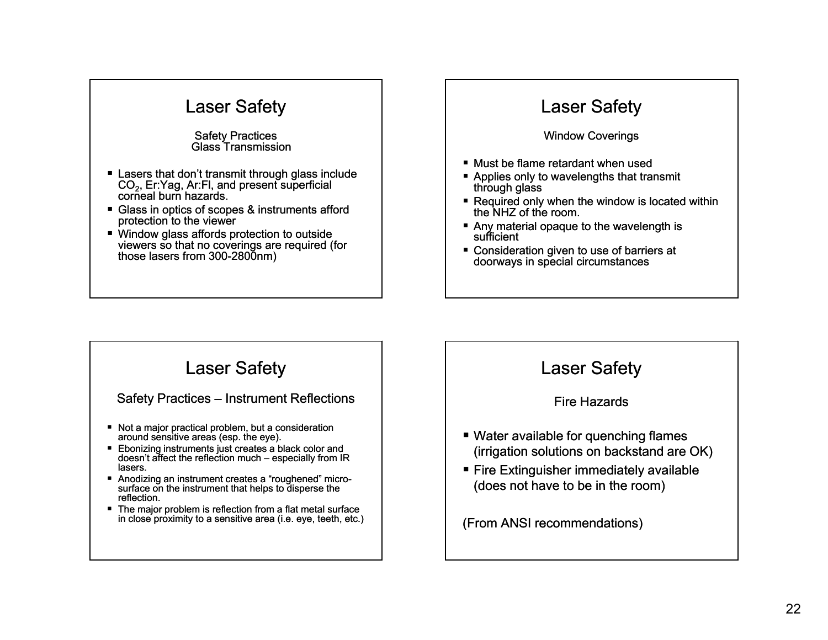#### Safety Practices Glass Transmission

- Lasers that don't transmit through glass include CO<sub>2</sub>, Er:Yag, Ar:Fl, and present superficial corneal burn hazards.
- Glass in optics of scopes & instruments afford protection to the viewer
- Window glass affords protection to outside viewers so that no coverings are required (for those lasers from 300-2800nm)

# Laser Safety

#### Window Coverings

- Must be flame retardant when used
- Applies only to wavelengths that transmit through glass
- Required only when the window is located within the NHZ of the room.
- Any material opaque to the wavelength is sufficient
- Consideration given to use of barriers at doorways in special circumstances

### Laser Safety

#### Safety Practices – Instrument Reflections

- Not a major practical problem, but a consideration around sensitive areas (esp. the eye).
- Ebonizing instruments just creates a black color and doesn't affect the reflection much – especially from IR lasers.
- Anodizing an instrument creates a "roughened" microsurface on the instrument that helps to disperse the reflection.
- The major problem is reflection from a flat metal surface in close proximity to a sensitive area (i.e. eye, teeth, etc.)

#### Laser Safety

#### Fire Hazards

- Water available for quenching flames (irrigation solutions on backstand are OK)
- Fire Extinguisher immediately available (does not have to be in the room)

(From ANSI recommendations)